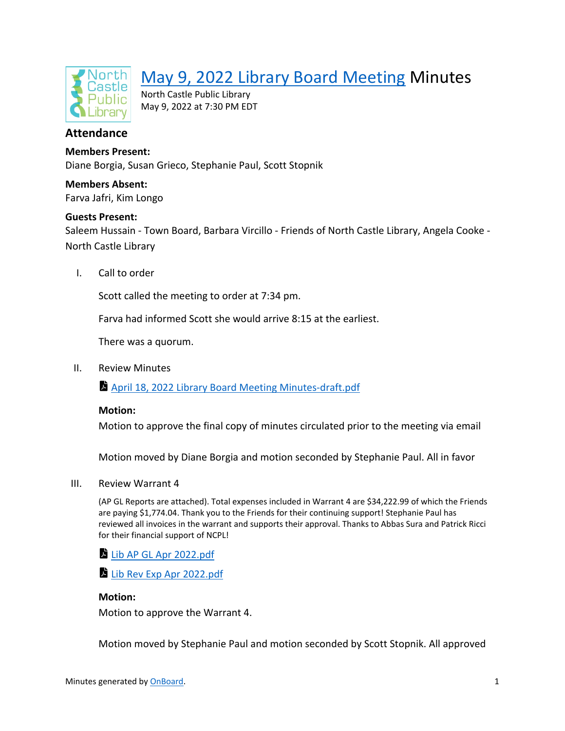

# [May 9, 2022 Library Board Meeting](https://app.onboardmeetings.com/e5c917df97bc46c8ad38fd8baf8b24da-151/meetingDetail/cd34520770a2479d92787d3ecce648f5-151) Minutes

North Castle Public Library May 9, 2022 at 7:30 PM EDT

## **Attendance**

### **Members Present:**

Diane Borgia, Susan Grieco, Stephanie Paul, Scott Stopnik

**Members Absent:** Farva Jafri, Kim Longo

#### **Guests Present:**

Saleem Hussain - Town Board, Barbara Vircillo - Friends of North Castle Library, Angela Cooke - North Castle Library

I. Call to order

Scott called the meeting to order at 7:34 pm.

Farva had informed Scott she would arrive 8:15 at the earliest.

There was a quorum.

II. Review Minutes

[April 18, 2022 Library Board Meeting Minutes-draft.pdf](https://app.onboardmeetings.com/e5c917df97bc46c8ad38fd8baf8b24da-151/meetingBook/cd34520770a2479d92787d3ecce648f5-151?page=1)

#### **Motion:**

Motion to approve the final copy of minutes circulated prior to the meeting via email

Motion moved by Diane Borgia and motion seconded by Stephanie Paul. All in favor

#### III. Review Warrant 4

(AP GL Reports are attached). Total expenses included in Warrant 4 are \$34,222.99 of which the Friends are paying \$1,774.04. Thank you to the Friends for their continuing support! Stephanie Paul has reviewed all invoices in the warrant and supports their approval. Thanks to Abbas Sura and Patrick Ricci for their financial support of NCPL!

[Lib AP GL Apr 2022.pdf](https://app.onboardmeetings.com/e5c917df97bc46c8ad38fd8baf8b24da-151/meetingBook/cd34520770a2479d92787d3ecce648f5-151?page=6)

[Lib Rev Exp Apr 2022.pdf](https://app.onboardmeetings.com/e5c917df97bc46c8ad38fd8baf8b24da-151/meetingBook/cd34520770a2479d92787d3ecce648f5-151?page=12)

#### **Motion:**

Motion to approve the Warrant 4.

Motion moved by Stephanie Paul and motion seconded by Scott Stopnik. All approved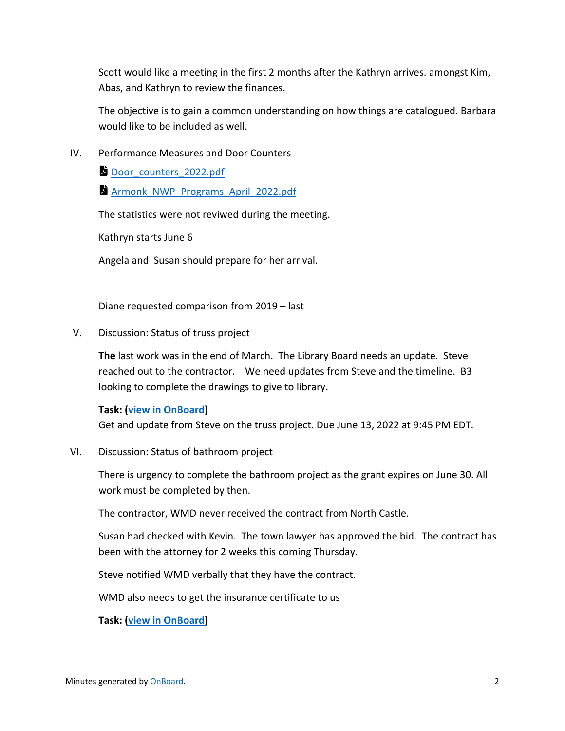Scott would like a meeting in the first 2 months after the Kathryn arrives. amongst Kim, Abas, and Kathryn to review the finances.

The objective is to gain a common understanding on how things are catalogued. Barbara would like to be included as well.

IV. Performance Measures and Door Counters

[Door\\_counters\\_2022.pdf](https://app.onboardmeetings.com/e5c917df97bc46c8ad38fd8baf8b24da-151/meetingBook/cd34520770a2479d92787d3ecce648f5-151?page=16)

Armonk NWP Programs April 2022.pdf

The statistics were not reviwed during the meeting.

Kathryn starts June 6

Angela and Susan should prepare for her arrival.

Diane requested comparison from 2019 – last

V. Discussion: Status of truss project

**The** last work was in the end of March. The Library Board needs an update. Steve reached out to the contractor. We need updates from Steve and the timeline. B3 looking to complete the drawings to give to library.

#### **Task: [\(view in OnBoard\)](https://app.onboardmeetings.com/e5c917df97bc46c8ad38fd8baf8b24da-151/tasks?filter=assignedToMe&flyoutTaskId=e28b605e-4e06-474a-8c85-b80cad1e9d6d)**

Get and update from Steve on the truss project. Due June 13, 2022 at 9:45 PM EDT.

VI. Discussion: Status of bathroom project

There is urgency to complete the bathroom project as the grant expires on June 30. All work must be completed by then.

The contractor, WMD never received the contract from North Castle.

Susan had checked with Kevin. The town lawyer has approved the bid. The contract has been with the attorney for 2 weeks this coming Thursday.

Steve notified WMD verbally that they have the contract.

WMD also needs to get the insurance certificate to us

**Task: [\(view in OnBoard\)](https://app.onboardmeetings.com/e5c917df97bc46c8ad38fd8baf8b24da-151/tasks?filter=assignedToMe&flyoutTaskId=138e38d7-61fe-417a-b08e-990862262c1c)**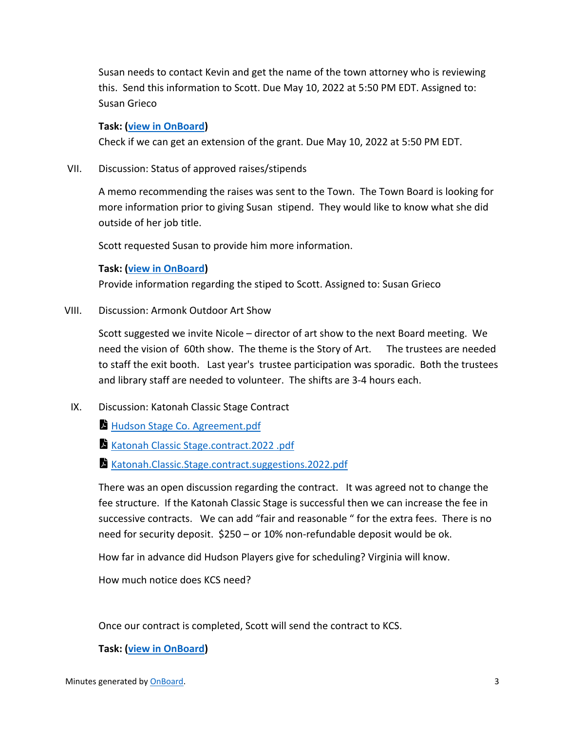Susan needs to contact Kevin and get the name of the town attorney who is reviewing this. Send this information to Scott. Due May 10, 2022 at 5:50 PM EDT. Assigned to: Susan Grieco

#### **Task: [\(view in OnBoard\)](https://app.onboardmeetings.com/e5c917df97bc46c8ad38fd8baf8b24da-151/tasks?filter=assignedToMe&flyoutTaskId=64dc0731-ff38-4125-b980-cb888ccf4cd2)**

Check if we can get an extension of the grant. Due May 10, 2022 at 5:50 PM EDT.

VII. Discussion: Status of approved raises/stipends

A memo recommending the raises was sent to the Town. The Town Board is looking for more information prior to giving Susan stipend. They would like to know what she did outside of her job title.

Scott requested Susan to provide him more information.

### **Task: [\(view in OnBoard\)](https://app.onboardmeetings.com/e5c917df97bc46c8ad38fd8baf8b24da-151/tasks?filter=assignedToMe&flyoutTaskId=befa271a-2f60-488a-b666-c6b79d0ee142)**

Provide information regarding the stiped to Scott. Assigned to: Susan Grieco

VIII. Discussion: Armonk Outdoor Art Show

Scott suggested we invite Nicole – director of art show to the next Board meeting. We need the vision of 60th show. The theme is the Story of Art. The trustees are needed to staff the exit booth. Last year's trustee participation was sporadic. Both the trustees and library staff are needed to volunteer. The shifts are 3-4 hours each.

- IX. Discussion: Katonah Classic Stage Contract
	- **[Hudson Stage Co. Agreement.pdf](https://app.onboardmeetings.com/e5c917df97bc46c8ad38fd8baf8b24da-151/meetingBook/cd34520770a2479d92787d3ecce648f5-151?page=18)**
	- [Katonah Classic Stage.contract.2022 .pdf](https://app.onboardmeetings.com/e5c917df97bc46c8ad38fd8baf8b24da-151/meetingBook/cd34520770a2479d92787d3ecce648f5-151?page=22)
	- [Katonah.Classic.Stage.contract.suggestions.2022.pdf](https://app.onboardmeetings.com/e5c917df97bc46c8ad38fd8baf8b24da-151/meetingBook/cd34520770a2479d92787d3ecce648f5-151?page=25)

There was an open discussion regarding the contract. It was agreed not to change the fee structure. If the Katonah Classic Stage is successful then we can increase the fee in successive contracts. We can add "fair and reasonable " for the extra fees. There is no need for security deposit. \$250 – or 10% non-refundable deposit would be ok.

How far in advance did Hudson Players give for scheduling? Virginia will know.

How much notice does KCS need?

Once our contract is completed, Scott will send the contract to KCS.

#### **Task: [\(view in OnBoard\)](https://app.onboardmeetings.com/e5c917df97bc46c8ad38fd8baf8b24da-151/tasks?filter=assignedToMe&flyoutTaskId=0db92779-b51b-4ca4-a9ae-2b67811b26a5)**